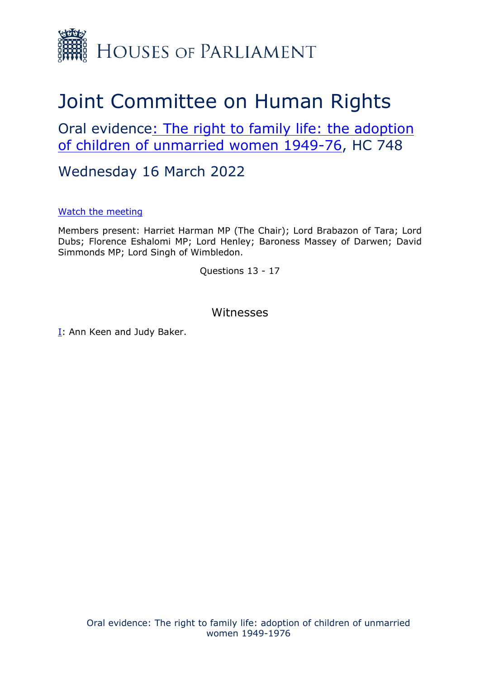

## Joint Committee on Human Rights

Oral evidence[:](https://committees.parliament.uk/work/1522/the-right-to-family-life-adoption-of-children-of-unmarried-women-19491976/) [The](https://committees.parliament.uk/work/1522/the-right-to-family-life-adoption-of-children-of-unmarried-women-19491976/) [right](https://committees.parliament.uk/work/1522/the-right-to-family-life-adoption-of-children-of-unmarried-women-19491976/) [to](https://committees.parliament.uk/work/1522/the-right-to-family-life-adoption-of-children-of-unmarried-women-19491976/) [family](https://committees.parliament.uk/work/1522/the-right-to-family-life-adoption-of-children-of-unmarried-women-19491976/) [life:](https://committees.parliament.uk/work/1522/the-right-to-family-life-adoption-of-children-of-unmarried-women-19491976/) [the](https://committees.parliament.uk/work/1522/the-right-to-family-life-adoption-of-children-of-unmarried-women-19491976/) [adoption](https://committees.parliament.uk/work/1522/the-right-to-family-life-adoption-of-children-of-unmarried-women-19491976/) [of](https://committees.parliament.uk/work/1522/the-right-to-family-life-adoption-of-children-of-unmarried-women-19491976/) [children](https://committees.parliament.uk/work/1522/the-right-to-family-life-adoption-of-children-of-unmarried-women-19491976/) [of](https://committees.parliament.uk/work/1522/the-right-to-family-life-adoption-of-children-of-unmarried-women-19491976/) [unmarried](https://committees.parliament.uk/work/1522/the-right-to-family-life-adoption-of-children-of-unmarried-women-19491976/) [women](https://committees.parliament.uk/work/1522/the-right-to-family-life-adoption-of-children-of-unmarried-women-19491976/) [1949-76,](https://committees.parliament.uk/work/1522/the-right-to-family-life-adoption-of-children-of-unmarried-women-19491976/) HC 748

Wednesday 16 March 2022

[Watch](https://parliamentlive.tv/event/index/432108ac-2a58-4d08-89af-5d93698b74a0) [the](https://parliamentlive.tv/event/index/432108ac-2a58-4d08-89af-5d93698b74a0) [meeting](https://parliamentlive.tv/event/index/432108ac-2a58-4d08-89af-5d93698b74a0)

Members present: Harriet Harman MP (The Chair); Lord Brabazon of Tara; Lord Dubs; Florence Eshalomi MP; Lord Henley; Baroness Massey of Darwen; David Simmonds MP; Lord Singh of Wimbledon.

Questions 13 - 17

## Witnesses

[I:](#page-1-0) Ann Keen and Judy Baker.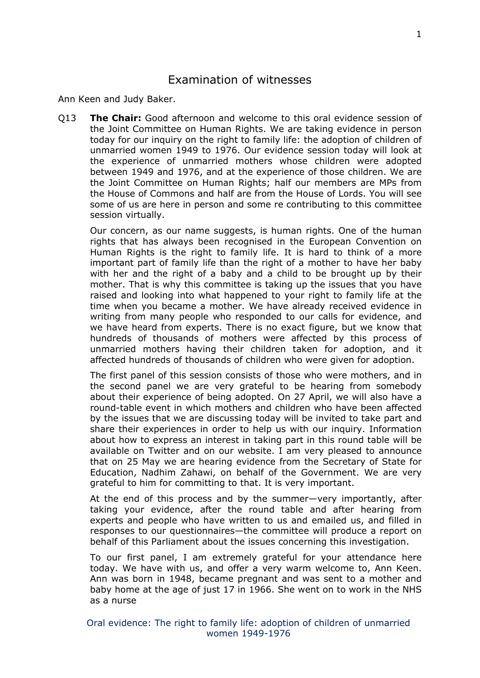## <span id="page-1-0"></span>Examination of witnesses

Ann Keen and Judy Baker.

Q13 **The Chair:** Good afternoon and welcome to this oral evidence session of the Joint Committee on Human Rights. We are taking evidence in person today for our inquiry on the right to family life: the adoption of children of unmarried women 1949 to 1976. Our evidence session today will look at the experience of unmarried mothers whose children were adopted between 1949 and 1976, and at the experience of those children. We are the Joint Committee on Human Rights; half our members are MPs from the House of Commons and half are from the House of Lords. You will see some of us are here in person and some re contributing to this committee session virtually.

Our concern, as our name suggests, is human rights. One of the human rights that has always been recognised in the European Convention on Human Rights is the right to family life. It is hard to think of a more important part of family life than the right of a mother to have her baby with her and the right of a baby and a child to be brought up by their mother. That is why this committee is taking up the issues that you have raised and looking into what happened to your right to family life at the time when you became a mother. We have already received evidence in writing from many people who responded to our calls for evidence, and we have heard from experts. There is no exact figure, but we know that hundreds of thousands of mothers were affected by this process of unmarried mothers having their children taken for adoption, and it affected hundreds of thousands of children who were given for adoption.

The first panel of this session consists of those who were mothers, and in the second panel we are very grateful to be hearing from somebody about their experience of being adopted. On 27 April, we will also have a round-table event in which mothers and children who have been affected by the issues that we are discussing today will be invited to take part and share their experiences in order to help us with our inquiry. Information about how to express an interest in taking part in this round table will be available on Twitter and on our website. I am very pleased to announce that on 25 May we are hearing evidence from the Secretary of State for Education, Nadhim Zahawi, on behalf of the Government. We are very grateful to him for committing to that. It is very important.

At the end of this process and by the summer—very importantly, after taking your evidence, after the round table and after hearing from experts and people who have written to us and emailed us, and filled in responses to our questionnaires—the committee will produce a report on behalf of this Parliament about the issues concerning this investigation.

To our first panel, I am extremely grateful for your attendance here today. We have with us, and offer a very warm welcome to, Ann Keen. Ann was born in 1948, became pregnant and was sent to a mother and baby home at the age of just 17 in 1966. She went on to work in the NHS as a nurse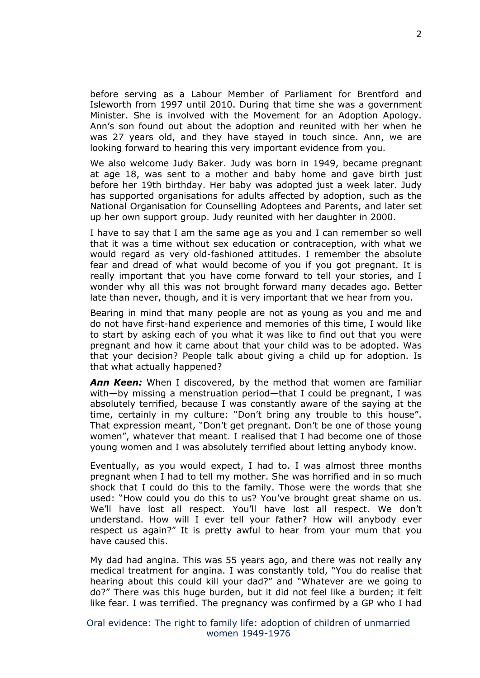before serving as a Labour Member of Parliament for Brentford and Isleworth from 1997 until 2010. During that time she was a government Minister. She is involved with the Movement for an Adoption Apology. Ann's son found out about the adoption and reunited with her when he was 27 years old, and they have stayed in touch since. Ann, we are looking forward to hearing this very important evidence from you.

We also welcome Judy Baker. Judy was born in 1949, became pregnant at age 18, was sent to a mother and baby home and gave birth just before her 19th birthday. Her baby was adopted just a week later. Judy has supported organisations for adults affected by adoption, such as the National Organisation for Counselling Adoptees and Parents, and later set up her own support group. Judy reunited with her daughter in 2000.

I have to say that I am the same age as you and I can remember so well that it was a time without sex education or contraception, with what we would regard as very old-fashioned attitudes. I remember the absolute fear and dread of what would become of you if you got pregnant. It is really important that you have come forward to tell your stories, and I wonder why all this was not brought forward many decades ago. Better late than never, though, and it is very important that we hear from you.

Bearing in mind that many people are not as young as you and me and do not have first-hand experience and memories of this time, I would like to start by asking each of you what it was like to find out that you were pregnant and how it came about that your child was to be adopted. Was that your decision? People talk about giving a child up for adoption. Is that what actually happened?

*Ann Keen:* When I discovered, by the method that women are familiar with—by missing a menstruation period—that I could be pregnant, I was absolutely terrified, because I was constantly aware of the saying at the time, certainly in my culture: "Don't bring any trouble to this house". That expression meant, "Don't get pregnant. Don't be one of those young women", whatever that meant. I realised that I had become one of those young women and I was absolutely terrified about letting anybody know.

Eventually, as you would expect, I had to. I was almost three months pregnant when I had to tell my mother. She was horrified and in so much shock that I could do this to the family. Those were the words that she used: "How could you do this to us? You've brought great shame on us. We'll have lost all respect. You'll have lost all respect. We don't understand. How will I ever tell your father? How will anybody ever respect us again?" It is pretty awful to hear from your mum that you have caused this.

My dad had angina. This was 55 years ago, and there was not really any medical treatment for angina. I was constantly told, "You do realise that hearing about this could kill your dad?" and "Whatever are we going to do?" There was this huge burden, but it did not feel like a burden; it felt like fear. I was terrified. The pregnancy was confirmed by a GP who I had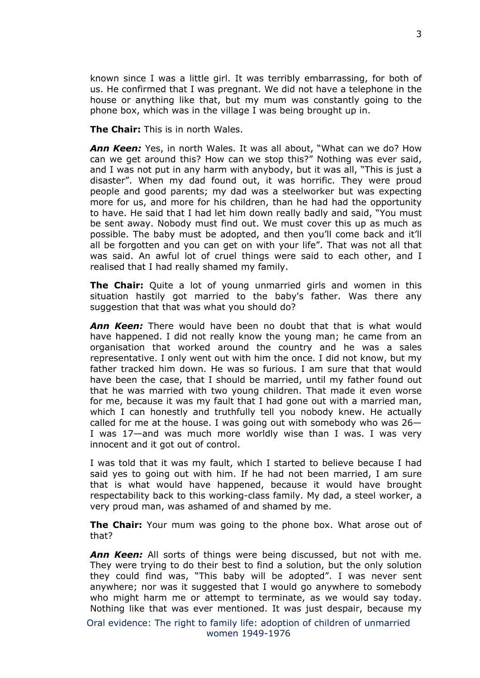known since I was a little girl. It was terribly embarrassing, for both of us. He confirmed that I was pregnant. We did not have a telephone in the house or anything like that, but my mum was constantly going to the phone box, which was in the village I was being brought up in.

**The Chair:** This is in north Wales.

*Ann Keen:* Yes, in north Wales. It was all about, "What can we do? How can we get around this? How can we stop this?" Nothing was ever said, and I was not put in any harm with anybody, but it was all, "This is just a disaster". When my dad found out, it was horrific. They were proud people and good parents; my dad was a steelworker but was expecting more for us, and more for his children, than he had had the opportunity to have. He said that I had let him down really badly and said, "You must be sent away. Nobody must find out. We must cover this up as much as possible. The baby must be adopted, and then you'll come back and it'll all be forgotten and you can get on with your life". That was not all that was said. An awful lot of cruel things were said to each other, and I realised that I had really shamed my family.

**The Chair:** Quite a lot of young unmarried girls and women in this situation hastily got married to the baby's father. Was there any suggestion that that was what you should do?

*Ann Keen:* There would have been no doubt that that is what would have happened. I did not really know the young man; he came from an organisation that worked around the country and he was a sales representative. I only went out with him the once. I did not know, but my father tracked him down. He was so furious. I am sure that that would have been the case, that I should be married, until my father found out that he was married with two young children. That made it even worse for me, because it was my fault that I had gone out with a married man, which I can honestly and truthfully tell you nobody knew. He actually called for me at the house. I was going out with somebody who was 26— I was 17—and was much more worldly wise than I was. I was very innocent and it got out of control.

I was told that it was my fault, which I started to believe because I had said yes to going out with him. If he had not been married, I am sure that is what would have happened, because it would have brought respectability back to this working-class family. My dad, a steel worker, a very proud man, was ashamed of and shamed by me.

**The Chair:** Your mum was going to the phone box. What arose out of that?

*Ann Keen:* All sorts of things were being discussed, but not with me. They were trying to do their best to find a solution, but the only solution they could find was, "This baby will be adopted". I was never sent anywhere; nor was it suggested that I would go anywhere to somebody who might harm me or attempt to terminate, as we would say today. Nothing like that was ever mentioned. It was just despair, because my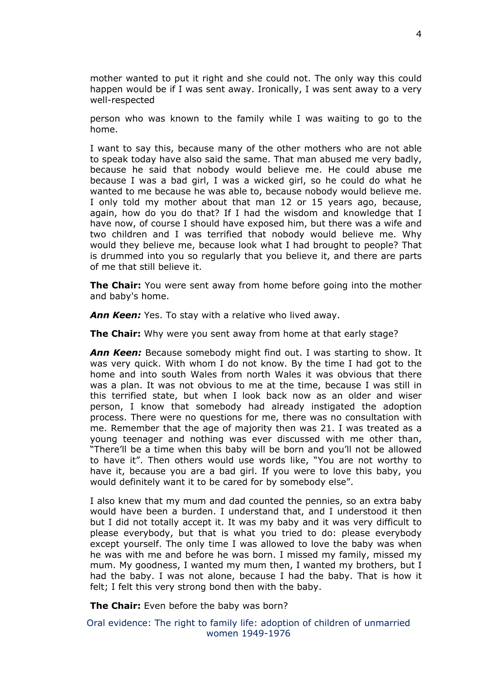mother wanted to put it right and she could not. The only way this could happen would be if I was sent away. Ironically, I was sent away to a very well-respected

person who was known to the family while I was waiting to go to the home.

I want to say this, because many of the other mothers who are not able to speak today have also said the same. That man abused me very badly, because he said that nobody would believe me. He could abuse me because I was a bad girl, I was a wicked girl, so he could do what he wanted to me because he was able to, because nobody would believe me. I only told my mother about that man 12 or 15 years ago, because, again, how do you do that? If I had the wisdom and knowledge that I have now, of course I should have exposed him, but there was a wife and two children and I was terrified that nobody would believe me. Why would they believe me, because look what I had brought to people? That is drummed into you so regularly that you believe it, and there are parts of me that still believe it.

**The Chair:** You were sent away from home before going into the mother and baby's home.

*Ann Keen:* Yes. To stay with a relative who lived away.

**The Chair:** Why were you sent away from home at that early stage?

*Ann Keen:* Because somebody might find out. I was starting to show. It was very quick. With whom I do not know. By the time I had got to the home and into south Wales from north Wales it was obvious that there was a plan. It was not obvious to me at the time, because I was still in this terrified state, but when I look back now as an older and wiser person, I know that somebody had already instigated the adoption process. There were no questions for me, there was no consultation with me. Remember that the age of majority then was 21. I was treated as a young teenager and nothing was ever discussed with me other than, "There'll be a time when this baby will be born and you'll not be allowed to have it". Then others would use words like, "You are not worthy to have it, because you are a bad girl. If you were to love this baby, you would definitely want it to be cared for by somebody else".

I also knew that my mum and dad counted the pennies, so an extra baby would have been a burden. I understand that, and I understood it then but I did not totally accept it. It was my baby and it was very difficult to please everybody, but that is what you tried to do: please everybody except yourself. The only time I was allowed to love the baby was when he was with me and before he was born. I missed my family, missed my mum. My goodness, I wanted my mum then, I wanted my brothers, but I had the baby. I was not alone, because I had the baby. That is how it felt; I felt this very strong bond then with the baby.

**The Chair:** Even before the baby was born?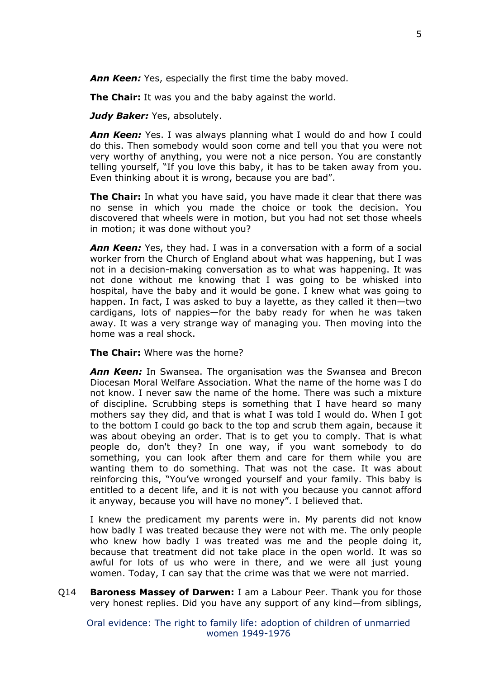*Ann Keen:* Yes, especially the first time the baby moved.

**The Chair:** It was you and the baby against the world.

*Judy Baker: Yes, absolutely.* 

*Ann Keen:* Yes. I was always planning what I would do and how I could do this. Then somebody would soon come and tell you that you were not very worthy of anything, you were not a nice person. You are constantly telling yourself, "If you love this baby, it has to be taken away from you. Even thinking about it is wrong, because you are bad".

**The Chair:** In what you have said, you have made it clear that there was no sense in which you made the choice or took the decision. You discovered that wheels were in motion, but you had not set those wheels in motion; it was done without you?

*Ann Keen:* Yes, they had. I was in a conversation with a form of a social worker from the Church of England about what was happening, but I was not in a decision-making conversation as to what was happening. It was not done without me knowing that I was going to be whisked into hospital, have the baby and it would be gone. I knew what was going to happen. In fact, I was asked to buy a layette, as they called it then—two cardigans, lots of nappies—for the baby ready for when he was taken away. It was a very strange way of managing you. Then moving into the home was a real shock.

**The Chair:** Where was the home?

*Ann Keen:* In Swansea. The organisation was the Swansea and Brecon Diocesan Moral Welfare Association. What the name of the home was I do not know. I never saw the name of the home. There was such a mixture of discipline. Scrubbing steps is something that I have heard so many mothers say they did, and that is what I was told I would do. When I got to the bottom I could go back to the top and scrub them again, because it was about obeying an order. That is to get you to comply. That is what people do, don't they? In one way, if you want somebody to do something, you can look after them and care for them while you are wanting them to do something. That was not the case. It was about reinforcing this, "You've wronged yourself and your family. This baby is entitled to a decent life, and it is not with you because you cannot afford it anyway, because you will have no money". I believed that.

I knew the predicament my parents were in. My parents did not know how badly I was treated because they were not with me. The only people who knew how badly I was treated was me and the people doing it, because that treatment did not take place in the open world. It was so awful for lots of us who were in there, and we were all just young women. Today, I can say that the crime was that we were not married.

Q14 **Baroness Massey of Darwen:** I am a Labour Peer. Thank you for those very honest replies. Did you have any support of any kind—from siblings,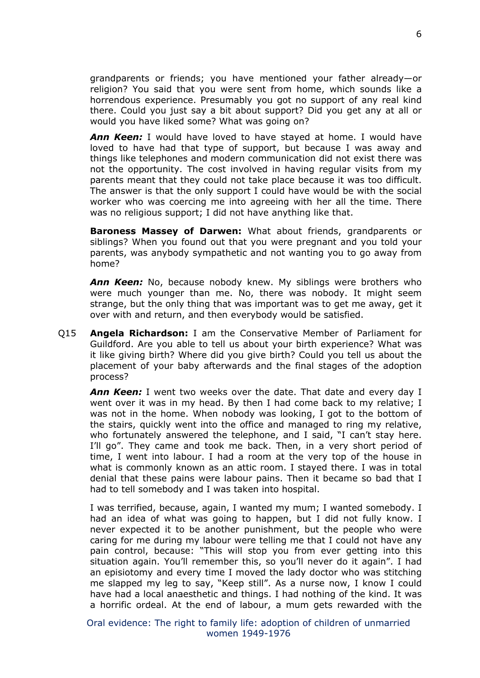grandparents or friends; you have mentioned your father already—or religion? You said that you were sent from home, which sounds like a horrendous experience. Presumably you got no support of any real kind there. Could you just say a bit about support? Did you get any at all or would you have liked some? What was going on?

*Ann Keen:* I would have loved to have stayed at home. I would have loved to have had that type of support, but because I was away and things like telephones and modern communication did not exist there was not the opportunity. The cost involved in having regular visits from my parents meant that they could not take place because it was too difficult. The answer is that the only support I could have would be with the social worker who was coercing me into agreeing with her all the time. There was no religious support; I did not have anything like that.

**Baroness Massey of Darwen:** What about friends, grandparents or siblings? When you found out that you were pregnant and you told your parents, was anybody sympathetic and not wanting you to go away from home?

*Ann Keen:* No, because nobody knew. My siblings were brothers who were much younger than me. No, there was nobody. It might seem strange, but the only thing that was important was to get me away, get it over with and return, and then everybody would be satisfied.

Q15 **Angela Richardson:** I am the Conservative Member of Parliament for Guildford. Are you able to tell us about your birth experience? What was it like giving birth? Where did you give birth? Could you tell us about the placement of your baby afterwards and the final stages of the adoption process?

*Ann Keen:* I went two weeks over the date. That date and every day I went over it was in my head. By then I had come back to my relative; I was not in the home. When nobody was looking, I got to the bottom of the stairs, quickly went into the office and managed to ring my relative, who fortunately answered the telephone, and I said, "I can't stay here. I'll go". They came and took me back. Then, in a very short period of time, I went into labour. I had a room at the very top of the house in what is commonly known as an attic room. I stayed there. I was in total denial that these pains were labour pains. Then it became so bad that I had to tell somebody and I was taken into hospital.

I was terrified, because, again, I wanted my mum; I wanted somebody. I had an idea of what was going to happen, but I did not fully know. I never expected it to be another punishment, but the people who were caring for me during my labour were telling me that I could not have any pain control, because: "This will stop you from ever getting into this situation again. You'll remember this, so you'll never do it again". I had an episiotomy and every time I moved the lady doctor who was stitching me slapped my leg to say, "Keep still". As a nurse now, I know I could have had a local anaesthetic and things. I had nothing of the kind. It was a horrific ordeal. At the end of labour, a mum gets rewarded with the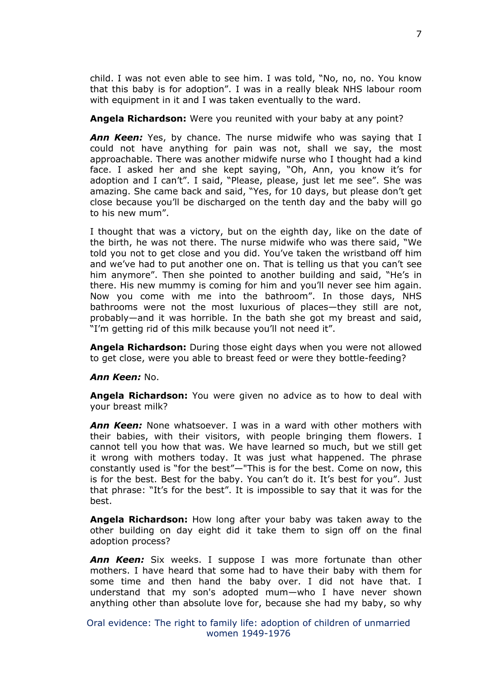child. I was not even able to see him. I was told, "No, no, no. You know that this baby is for adoption". I was in a really bleak NHS labour room with equipment in it and I was taken eventually to the ward.

**Angela Richardson:** Were you reunited with your baby at any point?

*Ann Keen:* Yes, by chance. The nurse midwife who was saying that I could not have anything for pain was not, shall we say, the most approachable. There was another midwife nurse who I thought had a kind face. I asked her and she kept saying, "Oh, Ann, you know it's for adoption and I can't". I said, "Please, please, just let me see". She was amazing. She came back and said, "Yes, for 10 days, but please don't get close because you'll be discharged on the tenth day and the baby will go to his new mum".

I thought that was a victory, but on the eighth day, like on the date of the birth, he was not there. The nurse midwife who was there said, "We told you not to get close and you did. You've taken the wristband off him and we've had to put another one on. That is telling us that you can't see him anymore". Then she pointed to another building and said, "He's in there. His new mummy is coming for him and you'll never see him again. Now you come with me into the bathroom". In those days, NHS bathrooms were not the most luxurious of places—they still are not, probably—and it was horrible. In the bath she got my breast and said, "I'm getting rid of this milk because you'll not need it".

**Angela Richardson:** During those eight days when you were not allowed to get close, were you able to breast feed or were they bottle-feeding?

## *Ann Keen:* No.

**Angela Richardson:** You were given no advice as to how to deal with your breast milk?

*Ann Keen:* None whatsoever. I was in a ward with other mothers with their babies, with their visitors, with people bringing them flowers. I cannot tell you how that was. We have learned so much, but we still get it wrong with mothers today. It was just what happened. The phrase constantly used is "for the best"—"This is for the best. Come on now, this is for the best. Best for the baby. You can't do it. It's best for you". Just that phrase: "It's for the best". It is impossible to say that it was for the best.

**Angela Richardson:** How long after your baby was taken away to the other building on day eight did it take them to sign off on the final adoption process?

*Ann Keen:* Six weeks. I suppose I was more fortunate than other mothers. I have heard that some had to have their baby with them for some time and then hand the baby over. I did not have that. I understand that my son's adopted mum—who I have never shown anything other than absolute love for, because she had my baby, so why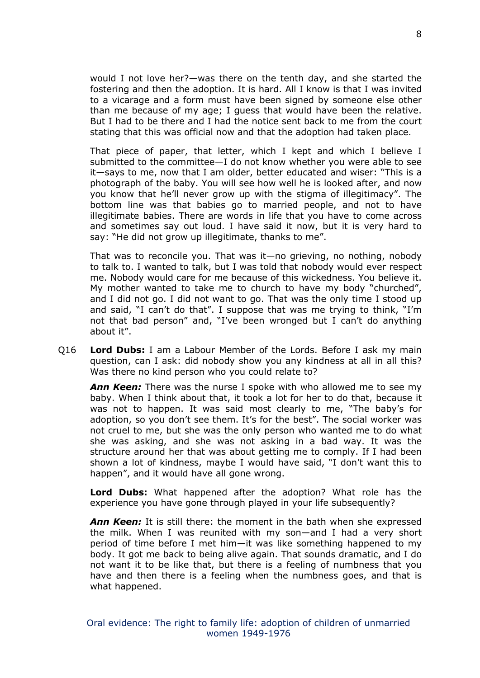would I not love her?—was there on the tenth day, and she started the fostering and then the adoption. It is hard. All I know is that I was invited to a vicarage and a form must have been signed by someone else other than me because of my age; I guess that would have been the relative. But I had to be there and I had the notice sent back to me from the court stating that this was official now and that the adoption had taken place.

That piece of paper, that letter, which I kept and which I believe I submitted to the committee—I do not know whether you were able to see it—says to me, now that I am older, better educated and wiser: "This is a photograph of the baby. You will see how well he is looked after, and now you know that he'll never grow up with the stigma of illegitimacy". The bottom line was that babies go to married people, and not to have illegitimate babies. There are words in life that you have to come across and sometimes say out loud. I have said it now, but it is very hard to say: "He did not grow up illegitimate, thanks to me".

That was to reconcile you. That was it—no grieving, no nothing, nobody to talk to. I wanted to talk, but I was told that nobody would ever respect me. Nobody would care for me because of this wickedness. You believe it. My mother wanted to take me to church to have my body "churched", and I did not go. I did not want to go. That was the only time I stood up and said, "I can't do that". I suppose that was me trying to think, "I'm not that bad person" and, "I've been wronged but I can't do anything about it".

Q16 **Lord Dubs:** I am a Labour Member of the Lords. Before I ask my main question, can I ask: did nobody show you any kindness at all in all this? Was there no kind person who you could relate to?

*Ann Keen:* There was the nurse I spoke with who allowed me to see my baby. When I think about that, it took a lot for her to do that, because it was not to happen. It was said most clearly to me, "The baby's for adoption, so you don't see them. It's for the best". The social worker was not cruel to me, but she was the only person who wanted me to do what she was asking, and she was not asking in a bad way. It was the structure around her that was about getting me to comply. If I had been shown a lot of kindness, maybe I would have said, "I don't want this to happen", and it would have all gone wrong.

**Lord Dubs:** What happened after the adoption? What role has the experience you have gone through played in your life subsequently?

*Ann Keen:* It is still there: the moment in the bath when she expressed the milk. When I was reunited with my son—and I had a very short period of time before I met him—it was like something happened to my body. It got me back to being alive again. That sounds dramatic, and I do not want it to be like that, but there is a feeling of numbness that you have and then there is a feeling when the numbness goes, and that is what happened.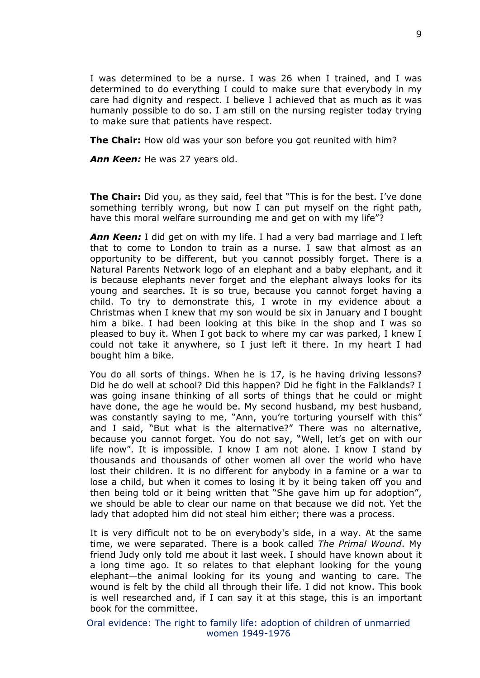I was determined to be a nurse. I was 26 when I trained, and I was determined to do everything I could to make sure that everybody in my care had dignity and respect. I believe I achieved that as much as it was humanly possible to do so. I am still on the nursing register today trying to make sure that patients have respect.

**The Chair:** How old was your son before you got reunited with him?

*Ann Keen:* He was 27 years old.

**The Chair:** Did you, as they said, feel that "This is for the best. I've done something terribly wrong, but now I can put myself on the right path, have this moral welfare surrounding me and get on with my life"?

*Ann Keen:* I did get on with my life. I had a very bad marriage and I left that to come to London to train as a nurse. I saw that almost as an opportunity to be different, but you cannot possibly forget. There is a Natural Parents Network logo of an elephant and a baby elephant, and it is because elephants never forget and the elephant always looks for its young and searches. It is so true, because you cannot forget having a child. To try to demonstrate this, I wrote in my evidence about a Christmas when I knew that my son would be six in January and I bought him a bike. I had been looking at this bike in the shop and I was so pleased to buy it. When I got back to where my car was parked, I knew I could not take it anywhere, so I just left it there. In my heart I had bought him a bike.

You do all sorts of things. When he is 17, is he having driving lessons? Did he do well at school? Did this happen? Did he fight in the Falklands? I was going insane thinking of all sorts of things that he could or might have done, the age he would be. My second husband, my best husband, was constantly saying to me, "Ann, you're torturing yourself with this" and I said, "But what is the alternative?" There was no alternative, because you cannot forget. You do not say, "Well, let's get on with our life now". It is impossible. I know I am not alone. I know I stand by thousands and thousands of other women all over the world who have lost their children. It is no different for anybody in a famine or a war to lose a child, but when it comes to losing it by it being taken off you and then being told or it being written that "She gave him up for adoption", we should be able to clear our name on that because we did not. Yet the lady that adopted him did not steal him either; there was a process.

It is very difficult not to be on everybody's side, in a way. At the same time, we were separated. There is a book called *The Primal Wound*. My friend Judy only told me about it last week. I should have known about it a long time ago. It so relates to that elephant looking for the young elephant—the animal looking for its young and wanting to care. The wound is felt by the child all through their life. I did not know. This book is well researched and, if I can say it at this stage, this is an important book for the committee.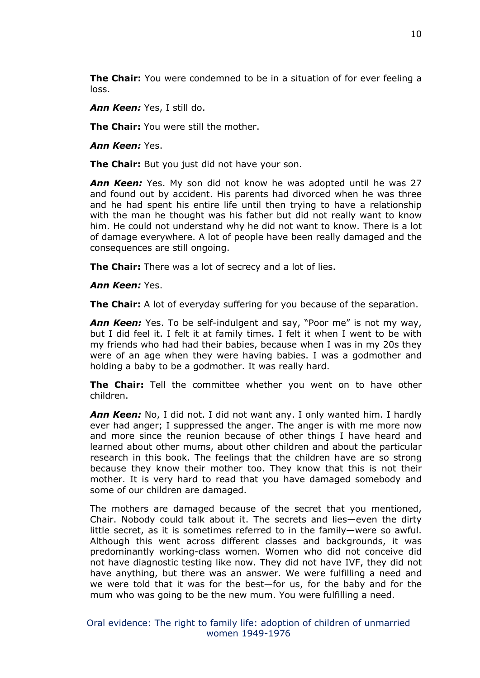**The Chair:** You were condemned to be in a situation of for ever feeling a loss.

*Ann Keen:* Yes, I still do.

**The Chair:** You were still the mother.

*Ann Keen:* Yes.

**The Chair:** But you just did not have your son.

*Ann Keen:* Yes. My son did not know he was adopted until he was 27 and found out by accident. His parents had divorced when he was three and he had spent his entire life until then trying to have a relationship with the man he thought was his father but did not really want to know him. He could not understand why he did not want to know. There is a lot of damage everywhere. A lot of people have been really damaged and the consequences are still ongoing.

**The Chair:** There was a lot of secrecy and a lot of lies.

*Ann Keen:* Yes.

**The Chair:** A lot of everyday suffering for you because of the separation.

*Ann Keen:* Yes. To be self-indulgent and say, "Poor me" is not my way, but I did feel it. I felt it at family times. I felt it when I went to be with my friends who had had their babies, because when I was in my 20s they were of an age when they were having babies. I was a godmother and holding a baby to be a godmother. It was really hard.

**The Chair:** Tell the committee whether you went on to have other children.

*Ann Keen:* No, I did not. I did not want any. I only wanted him. I hardly ever had anger; I suppressed the anger. The anger is with me more now and more since the reunion because of other things I have heard and learned about other mums, about other children and about the particular research in this book. The feelings that the children have are so strong because they know their mother too. They know that this is not their mother. It is very hard to read that you have damaged somebody and some of our children are damaged.

The mothers are damaged because of the secret that you mentioned, Chair. Nobody could talk about it. The secrets and lies—even the dirty little secret, as it is sometimes referred to in the family—were so awful. Although this went across different classes and backgrounds, it was predominantly working-class women. Women who did not conceive did not have diagnostic testing like now. They did not have IVF, they did not have anything, but there was an answer. We were fulfilling a need and we were told that it was for the best—for us, for the baby and for the mum who was going to be the new mum. You were fulfilling a need.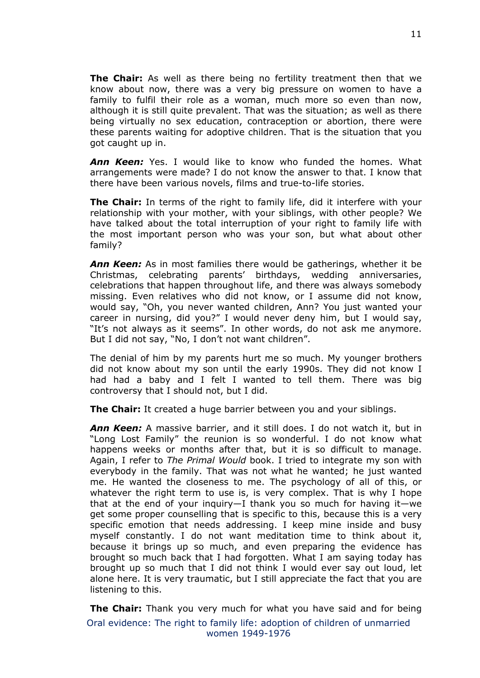**The Chair:** As well as there being no fertility treatment then that we know about now, there was a very big pressure on women to have a family to fulfil their role as a woman, much more so even than now, although it is still quite prevalent. That was the situation; as well as there being virtually no sex education, contraception or abortion, there were these parents waiting for adoptive children. That is the situation that you got caught up in.

*Ann Keen:* Yes. I would like to know who funded the homes. What arrangements were made? I do not know the answer to that. I know that there have been various novels, films and true-to-life stories.

**The Chair:** In terms of the right to family life, did it interfere with your relationship with your mother, with your siblings, with other people? We have talked about the total interruption of your right to family life with the most important person who was your son, but what about other family?

*Ann Keen:* As in most families there would be gatherings, whether it be Christmas, celebrating parents' birthdays, wedding anniversaries, celebrations that happen throughout life, and there was always somebody missing. Even relatives who did not know, or I assume did not know, would say, "Oh, you never wanted children, Ann? You just wanted your career in nursing, did you?" I would never deny him, but I would say, "It's not always as it seems". In other words, do not ask me anymore. But I did not say, "No, I don't not want children".

The denial of him by my parents hurt me so much. My younger brothers did not know about my son until the early 1990s. They did not know I had had a baby and I felt I wanted to tell them. There was big controversy that I should not, but I did.

**The Chair:** It created a huge barrier between you and your siblings.

*Ann Keen:* A massive barrier, and it still does. I do not watch it, but in "Long Lost Family" the reunion is so wonderful. I do not know what happens weeks or months after that, but it is so difficult to manage. Again, I refer to *The Primal Would* book. I tried to integrate my son with everybody in the family. That was not what he wanted; he just wanted me. He wanted the closeness to me. The psychology of all of this, or whatever the right term to use is, is very complex. That is why I hope that at the end of your inquiry—I thank you so much for having it—we get some proper counselling that is specific to this, because this is a very specific emotion that needs addressing. I keep mine inside and busy myself constantly. I do not want meditation time to think about it, because it brings up so much, and even preparing the evidence has brought so much back that I had forgotten. What I am saying today has brought up so much that I did not think I would ever say out loud, let alone here. It is very traumatic, but I still appreciate the fact that you are listening to this.

Oral evidence: The right to family life: adoption of children of unmarried women 1949-1976 **The Chair:** Thank you very much for what you have said and for being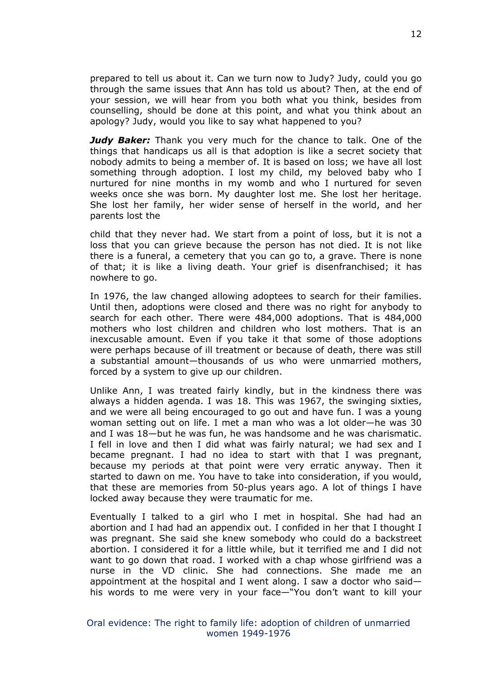prepared to tell us about it. Can we turn now to Judy? Judy, could you go through the same issues that Ann has told us about? Then, at the end of your session, we will hear from you both what you think, besides from counselling, should be done at this point, and what you think about an apology? Judy, would you like to say what happened to you?

*Judy Baker:* Thank you very much for the chance to talk. One of the things that handicaps us all is that adoption is like a secret society that nobody admits to being a member of. It is based on loss; we have all lost something through adoption. I lost my child, my beloved baby who I nurtured for nine months in my womb and who I nurtured for seven weeks once she was born. My daughter lost me. She lost her heritage. She lost her family, her wider sense of herself in the world, and her parents lost the

child that they never had. We start from a point of loss, but it is not a loss that you can grieve because the person has not died. It is not like there is a funeral, a cemetery that you can go to, a grave. There is none of that; it is like a living death. Your grief is disenfranchised; it has nowhere to go.

In 1976, the law changed allowing adoptees to search for their families. Until then, adoptions were closed and there was no right for anybody to search for each other. There were 484,000 adoptions. That is 484,000 mothers who lost children and children who lost mothers. That is an inexcusable amount. Even if you take it that some of those adoptions were perhaps because of ill treatment or because of death, there was still a substantial amount—thousands of us who were unmarried mothers, forced by a system to give up our children.

Unlike Ann, I was treated fairly kindly, but in the kindness there was always a hidden agenda. I was 18. This was 1967, the swinging sixties, and we were all being encouraged to go out and have fun. I was a young woman setting out on life. I met a man who was a lot older—he was 30 and I was 18—but he was fun, he was handsome and he was charismatic. I fell in love and then I did what was fairly natural; we had sex and I became pregnant. I had no idea to start with that I was pregnant, because my periods at that point were very erratic anyway. Then it started to dawn on me. You have to take into consideration, if you would, that these are memories from 50-plus years ago. A lot of things I have locked away because they were traumatic for me.

Eventually I talked to a girl who I met in hospital. She had had an abortion and I had had an appendix out. I confided in her that I thought I was pregnant. She said she knew somebody who could do a backstreet abortion. I considered it for a little while, but it terrified me and I did not want to go down that road. I worked with a chap whose girlfriend was a nurse in the VD clinic. She had connections. She made me an appointment at the hospital and I went along. I saw a doctor who said his words to me were very in your face—"You don't want to kill your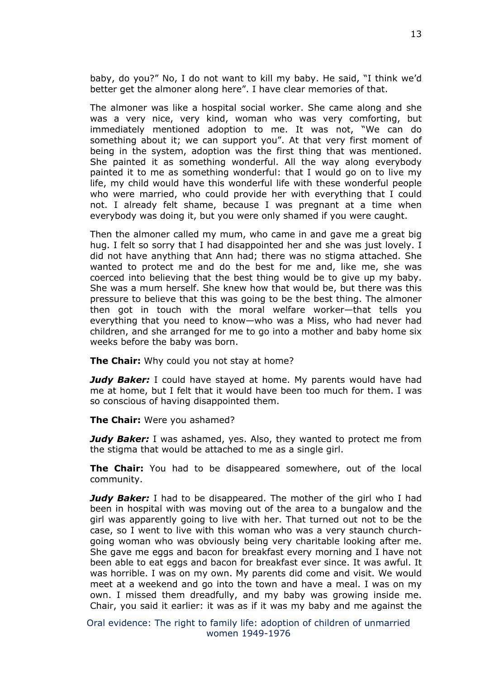baby, do you?" No, I do not want to kill my baby. He said, "I think we'd better get the almoner along here". I have clear memories of that.

The almoner was like a hospital social worker. She came along and she was a very nice, very kind, woman who was very comforting, but immediately mentioned adoption to me. It was not, "We can do something about it; we can support you". At that very first moment of being in the system, adoption was the first thing that was mentioned. She painted it as something wonderful. All the way along everybody painted it to me as something wonderful: that I would go on to live my life, my child would have this wonderful life with these wonderful people who were married, who could provide her with everything that I could not. I already felt shame, because I was pregnant at a time when everybody was doing it, but you were only shamed if you were caught.

Then the almoner called my mum, who came in and gave me a great big hug. I felt so sorry that I had disappointed her and she was just lovely. I did not have anything that Ann had; there was no stigma attached. She wanted to protect me and do the best for me and, like me, she was coerced into believing that the best thing would be to give up my baby. She was a mum herself. She knew how that would be, but there was this pressure to believe that this was going to be the best thing. The almoner then got in touch with the moral welfare worker—that tells you everything that you need to know—who was a Miss, who had never had children, and she arranged for me to go into a mother and baby home six weeks before the baby was born.

**The Chair:** Why could you not stay at home?

*Judy Baker:* I could have stayed at home. My parents would have had me at home, but I felt that it would have been too much for them. I was so conscious of having disappointed them.

**The Chair:** Were you ashamed?

*Judy Baker:* I was ashamed, yes. Also, they wanted to protect me from the stigma that would be attached to me as a single girl.

**The Chair:** You had to be disappeared somewhere, out of the local community.

*Judy Baker:* I had to be disappeared. The mother of the girl who I had been in hospital with was moving out of the area to a bungalow and the girl was apparently going to live with her. That turned out not to be the case, so I went to live with this woman who was a very staunch churchgoing woman who was obviously being very charitable looking after me. She gave me eggs and bacon for breakfast every morning and I have not been able to eat eggs and bacon for breakfast ever since. It was awful. It was horrible. I was on my own. My parents did come and visit. We would meet at a weekend and go into the town and have a meal. I was on my own. I missed them dreadfully, and my baby was growing inside me. Chair, you said it earlier: it was as if it was my baby and me against the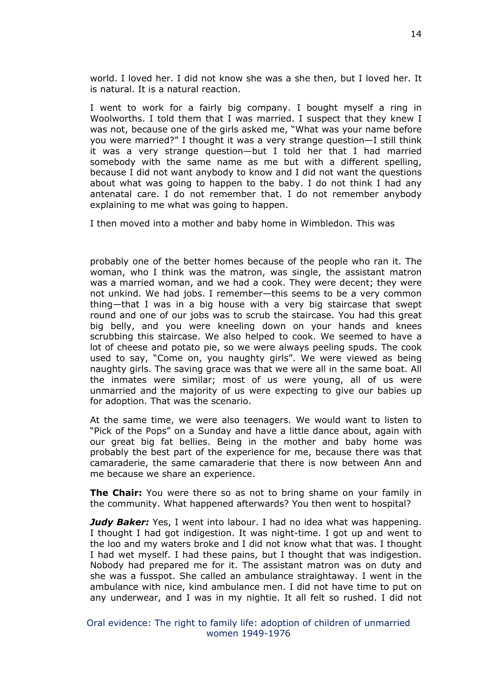world. I loved her. I did not know she was a she then, but I loved her. It is natural. It is a natural reaction.

I went to work for a fairly big company. I bought myself a ring in Woolworths. I told them that I was married. I suspect that they knew I was not, because one of the girls asked me, "What was your name before you were married?" I thought it was a very strange question—I still think it was a very strange question—but I told her that I had married somebody with the same name as me but with a different spelling, because I did not want anybody to know and I did not want the questions about what was going to happen to the baby. I do not think I had any antenatal care. I do not remember that. I do not remember anybody explaining to me what was going to happen.

I then moved into a mother and baby home in Wimbledon. This was

probably one of the better homes because of the people who ran it. The woman, who I think was the matron, was single, the assistant matron was a married woman, and we had a cook. They were decent; they were not unkind. We had jobs. I remember—this seems to be a very common thing—that I was in a big house with a very big staircase that swept round and one of our jobs was to scrub the staircase. You had this great big belly, and you were kneeling down on your hands and knees scrubbing this staircase. We also helped to cook. We seemed to have a lot of cheese and potato pie, so we were always peeling spuds. The cook used to say, "Come on, you naughty girls". We were viewed as being naughty girls. The saving grace was that we were all in the same boat. All the inmates were similar; most of us were young, all of us were unmarried and the majority of us were expecting to give our babies up for adoption. That was the scenario.

At the same time, we were also teenagers. We would want to listen to "Pick of the Pops" on a Sunday and have a little dance about, again with our great big fat bellies. Being in the mother and baby home was probably the best part of the experience for me, because there was that camaraderie, the same camaraderie that there is now between Ann and me because we share an experience.

**The Chair:** You were there so as not to bring shame on your family in the community. What happened afterwards? You then went to hospital?

*Judy Baker:* Yes, I went into labour. I had no idea what was happening. I thought I had got indigestion. It was night-time. I got up and went to the loo and my waters broke and I did not know what that was. I thought I had wet myself. I had these pains, but I thought that was indigestion. Nobody had prepared me for it. The assistant matron was on duty and she was a fusspot. She called an ambulance straightaway. I went in the ambulance with nice, kind ambulance men. I did not have time to put on any underwear, and I was in my nightie. It all felt so rushed. I did not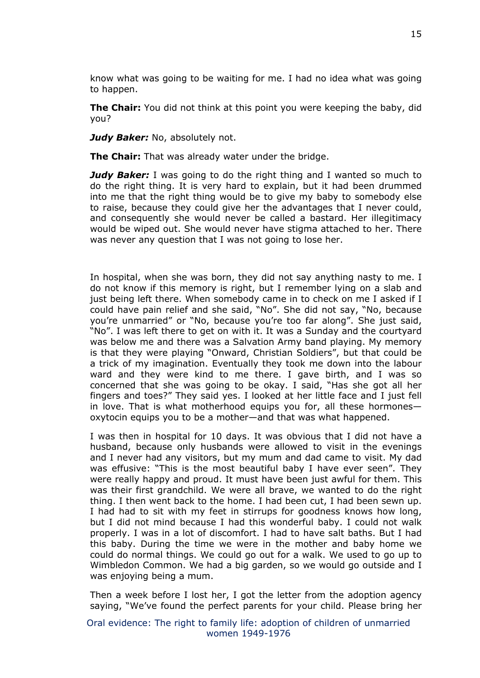know what was going to be waiting for me. I had no idea what was going to happen.

**The Chair:** You did not think at this point you were keeping the baby, did you?

*Judy Baker: No, absolutely not.* 

**The Chair:** That was already water under the bridge.

*Judy Baker:* I was going to do the right thing and I wanted so much to do the right thing. It is very hard to explain, but it had been drummed into me that the right thing would be to give my baby to somebody else to raise, because they could give her the advantages that I never could, and consequently she would never be called a bastard. Her illegitimacy would be wiped out. She would never have stigma attached to her. There was never any question that I was not going to lose her.

In hospital, when she was born, they did not say anything nasty to me. I do not know if this memory is right, but I remember lying on a slab and just being left there. When somebody came in to check on me I asked if I could have pain relief and she said, "No". She did not say, "No, because you're unmarried" or "No, because you're too far along". She just said, "No". I was left there to get on with it. It was a Sunday and the courtyard was below me and there was a Salvation Army band playing. My memory is that they were playing "Onward, Christian Soldiers", but that could be a trick of my imagination. Eventually they took me down into the labour ward and they were kind to me there. I gave birth, and I was so concerned that she was going to be okay. I said, "Has she got all her fingers and toes?" They said yes. I looked at her little face and I just fell in love. That is what motherhood equips you for, all these hormones oxytocin equips you to be a mother—and that was what happened.

I was then in hospital for 10 days. It was obvious that I did not have a husband, because only husbands were allowed to visit in the evenings and I never had any visitors, but my mum and dad came to visit. My dad was effusive: "This is the most beautiful baby I have ever seen". They were really happy and proud. It must have been just awful for them. This was their first grandchild. We were all brave, we wanted to do the right thing. I then went back to the home. I had been cut, I had been sewn up. I had had to sit with my feet in stirrups for goodness knows how long, but I did not mind because I had this wonderful baby. I could not walk properly. I was in a lot of discomfort. I had to have salt baths. But I had this baby. During the time we were in the mother and baby home we could do normal things. We could go out for a walk. We used to go up to Wimbledon Common. We had a big garden, so we would go outside and I was enjoying being a mum.

Then a week before I lost her, I got the letter from the adoption agency saying, "We've found the perfect parents for your child. Please bring her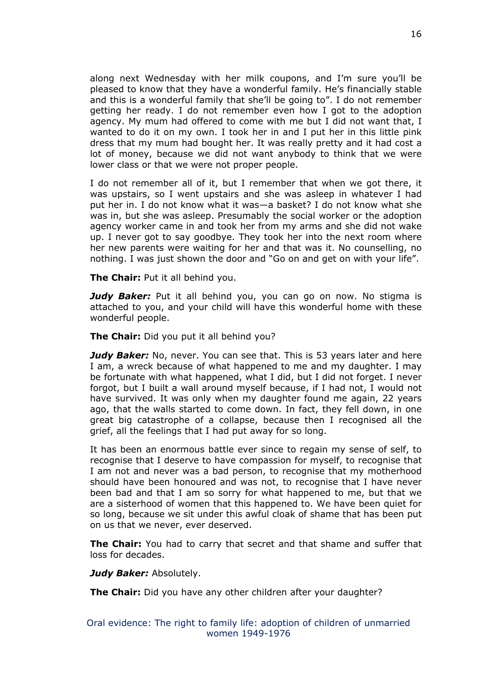along next Wednesday with her milk coupons, and I'm sure you'll be pleased to know that they have a wonderful family. He's financially stable and this is a wonderful family that she'll be going to". I do not remember getting her ready. I do not remember even how I got to the adoption agency. My mum had offered to come with me but I did not want that, I wanted to do it on my own. I took her in and I put her in this little pink dress that my mum had bought her. It was really pretty and it had cost a lot of money, because we did not want anybody to think that we were lower class or that we were not proper people.

I do not remember all of it, but I remember that when we got there, it was upstairs, so I went upstairs and she was asleep in whatever I had put her in. I do not know what it was—a basket? I do not know what she was in, but she was asleep. Presumably the social worker or the adoption agency worker came in and took her from my arms and she did not wake up. I never got to say goodbye. They took her into the next room where her new parents were waiting for her and that was it. No counselling, no nothing. I was just shown the door and "Go on and get on with your life".

**The Chair:** Put it all behind you.

*Judy Baker:* Put it all behind you, you can go on now. No stigma is attached to you, and your child will have this wonderful home with these wonderful people.

**The Chair:** Did you put it all behind you?

*Judy Baker:* No, never. You can see that. This is 53 years later and here I am, a wreck because of what happened to me and my daughter. I may be fortunate with what happened, what I did, but I did not forget. I never forgot, but I built a wall around myself because, if I had not, I would not have survived. It was only when my daughter found me again, 22 years ago, that the walls started to come down. In fact, they fell down, in one great big catastrophe of a collapse, because then I recognised all the grief, all the feelings that I had put away for so long.

It has been an enormous battle ever since to regain my sense of self, to recognise that I deserve to have compassion for myself, to recognise that I am not and never was a bad person, to recognise that my motherhood should have been honoured and was not, to recognise that I have never been bad and that I am so sorry for what happened to me, but that we are a sisterhood of women that this happened to. We have been quiet for so long, because we sit under this awful cloak of shame that has been put on us that we never, ever deserved.

**The Chair:** You had to carry that secret and that shame and suffer that loss for decades.

*Judy Baker:* Absolutely.

**The Chair:** Did you have any other children after your daughter?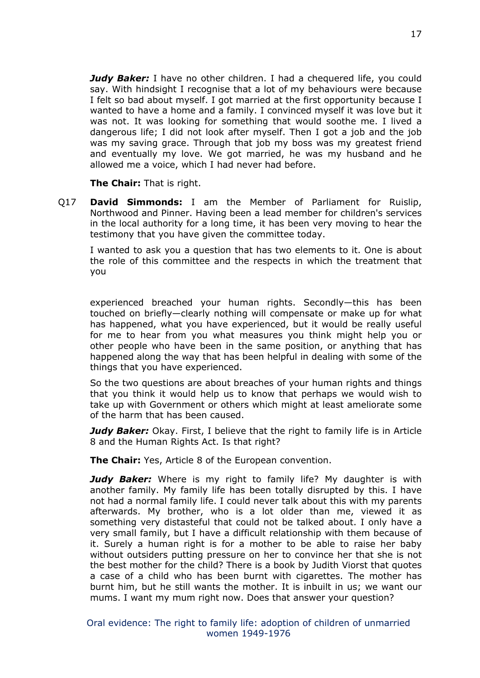*Judy Baker:* I have no other children. I had a chequered life, you could say. With hindsight I recognise that a lot of my behaviours were because I felt so bad about myself. I got married at the first opportunity because I wanted to have a home and a family. I convinced myself it was love but it was not. It was looking for something that would soothe me. I lived a dangerous life; I did not look after myself. Then I got a job and the job was my saving grace. Through that job my boss was my greatest friend and eventually my love. We got married, he was my husband and he allowed me a voice, which I had never had before.

**The Chair:** That is right.

Q17 **David Simmonds:** I am the Member of Parliament for Ruislip, Northwood and Pinner. Having been a lead member for children's services in the local authority for a long time, it has been very moving to hear the testimony that you have given the committee today.

I wanted to ask you a question that has two elements to it. One is about the role of this committee and the respects in which the treatment that you

experienced breached your human rights. Secondly—this has been touched on briefly—clearly nothing will compensate or make up for what has happened, what you have experienced, but it would be really useful for me to hear from you what measures you think might help you or other people who have been in the same position, or anything that has happened along the way that has been helpful in dealing with some of the things that you have experienced.

So the two questions are about breaches of your human rights and things that you think it would help us to know that perhaps we would wish to take up with Government or others which might at least ameliorate some of the harm that has been caused.

*Judy Baker:* Okay. First, I believe that the right to family life is in Article 8 and the Human Rights Act. Is that right?

**The Chair:** Yes, Article 8 of the European convention.

**Judy Baker:** Where is my right to family life? My daughter is with another family. My family life has been totally disrupted by this. I have not had a normal family life. I could never talk about this with my parents afterwards. My brother, who is a lot older than me, viewed it as something very distasteful that could not be talked about. I only have a very small family, but I have a difficult relationship with them because of it. Surely a human right is for a mother to be able to raise her baby without outsiders putting pressure on her to convince her that she is not the best mother for the child? There is a book by Judith Viorst that quotes a case of a child who has been burnt with cigarettes. The mother has burnt him, but he still wants the mother. It is inbuilt in us; we want our mums. I want my mum right now. Does that answer your question?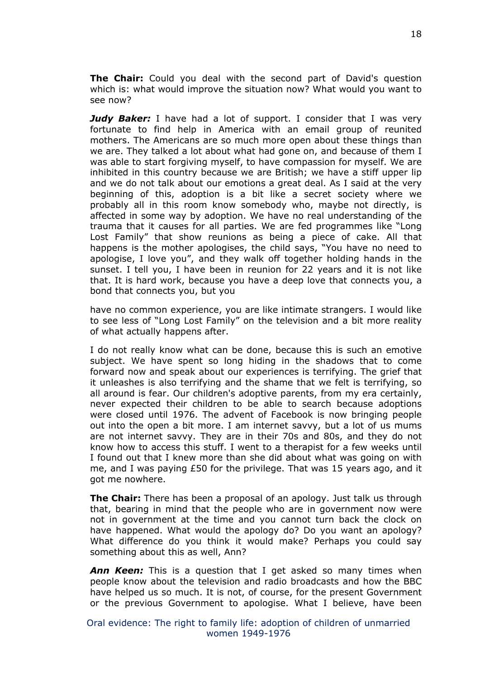**The Chair:** Could you deal with the second part of David's question which is: what would improve the situation now? What would you want to see now?

*Judy Baker:* I have had a lot of support. I consider that I was very fortunate to find help in America with an email group of reunited mothers. The Americans are so much more open about these things than we are. They talked a lot about what had gone on, and because of them I was able to start forgiving myself, to have compassion for myself. We are inhibited in this country because we are British; we have a stiff upper lip and we do not talk about our emotions a great deal. As I said at the very beginning of this, adoption is a bit like a secret society where we probably all in this room know somebody who, maybe not directly, is affected in some way by adoption. We have no real understanding of the trauma that it causes for all parties. We are fed programmes like "Long Lost Family" that show reunions as being a piece of cake. All that happens is the mother apologises, the child says, "You have no need to apologise, I love you", and they walk off together holding hands in the sunset. I tell you, I have been in reunion for 22 years and it is not like that. It is hard work, because you have a deep love that connects you, a bond that connects you, but you

have no common experience, you are like intimate strangers. I would like to see less of "Long Lost Family" on the television and a bit more reality of what actually happens after.

I do not really know what can be done, because this is such an emotive subject. We have spent so long hiding in the shadows that to come forward now and speak about our experiences is terrifying. The grief that it unleashes is also terrifying and the shame that we felt is terrifying, so all around is fear. Our children's adoptive parents, from my era certainly, never expected their children to be able to search because adoptions were closed until 1976. The advent of Facebook is now bringing people out into the open a bit more. I am internet savvy, but a lot of us mums are not internet savvy. They are in their 70s and 80s, and they do not know how to access this stuff. I went to a therapist for a few weeks until I found out that I knew more than she did about what was going on with me, and I was paying £50 for the privilege. That was 15 years ago, and it got me nowhere.

**The Chair:** There has been a proposal of an apology. Just talk us through that, bearing in mind that the people who are in government now were not in government at the time and you cannot turn back the clock on have happened. What would the apology do? Do you want an apology? What difference do you think it would make? Perhaps you could say something about this as well, Ann?

*Ann Keen:* This is a question that I get asked so many times when people know about the television and radio broadcasts and how the BBC have helped us so much. It is not, of course, for the present Government or the previous Government to apologise. What I believe, have been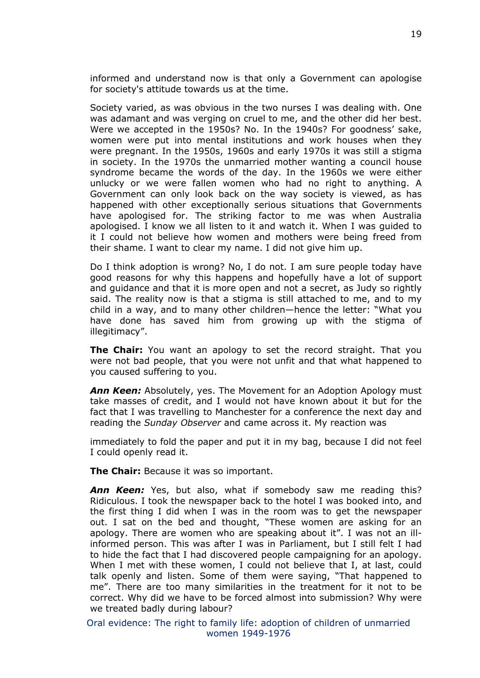informed and understand now is that only a Government can apologise for society's attitude towards us at the time.

Society varied, as was obvious in the two nurses I was dealing with. One was adamant and was verging on cruel to me, and the other did her best. Were we accepted in the 1950s? No. In the 1940s? For goodness' sake, women were put into mental institutions and work houses when they were pregnant. In the 1950s, 1960s and early 1970s it was still a stigma in society. In the 1970s the unmarried mother wanting a council house syndrome became the words of the day. In the 1960s we were either unlucky or we were fallen women who had no right to anything. A Government can only look back on the way society is viewed, as has happened with other exceptionally serious situations that Governments have apologised for. The striking factor to me was when Australia apologised. I know we all listen to it and watch it. When I was guided to it I could not believe how women and mothers were being freed from their shame. I want to clear my name. I did not give him up.

Do I think adoption is wrong? No, I do not. I am sure people today have good reasons for why this happens and hopefully have a lot of support and guidance and that it is more open and not a secret, as Judy so rightly said. The reality now is that a stigma is still attached to me, and to my child in a way, and to many other children—hence the letter: "What you have done has saved him from growing up with the stigma of illegitimacy".

**The Chair:** You want an apology to set the record straight. That you were not bad people, that you were not unfit and that what happened to you caused suffering to you.

*Ann Keen:* Absolutely, yes. The Movement for an Adoption Apology must take masses of credit, and I would not have known about it but for the fact that I was travelling to Manchester for a conference the next day and reading the *Sunday Observer* and came across it. My reaction was

immediately to fold the paper and put it in my bag, because I did not feel I could openly read it.

**The Chair:** Because it was so important.

*Ann Keen:* Yes, but also, what if somebody saw me reading this? Ridiculous. I took the newspaper back to the hotel I was booked into, and the first thing I did when I was in the room was to get the newspaper out. I sat on the bed and thought, "These women are asking for an apology. There are women who are speaking about it". I was not an illinformed person. This was after I was in Parliament, but I still felt I had to hide the fact that I had discovered people campaigning for an apology. When I met with these women, I could not believe that I, at last, could talk openly and listen. Some of them were saying, "That happened to me". There are too many similarities in the treatment for it not to be correct. Why did we have to be forced almost into submission? Why were we treated badly during labour?